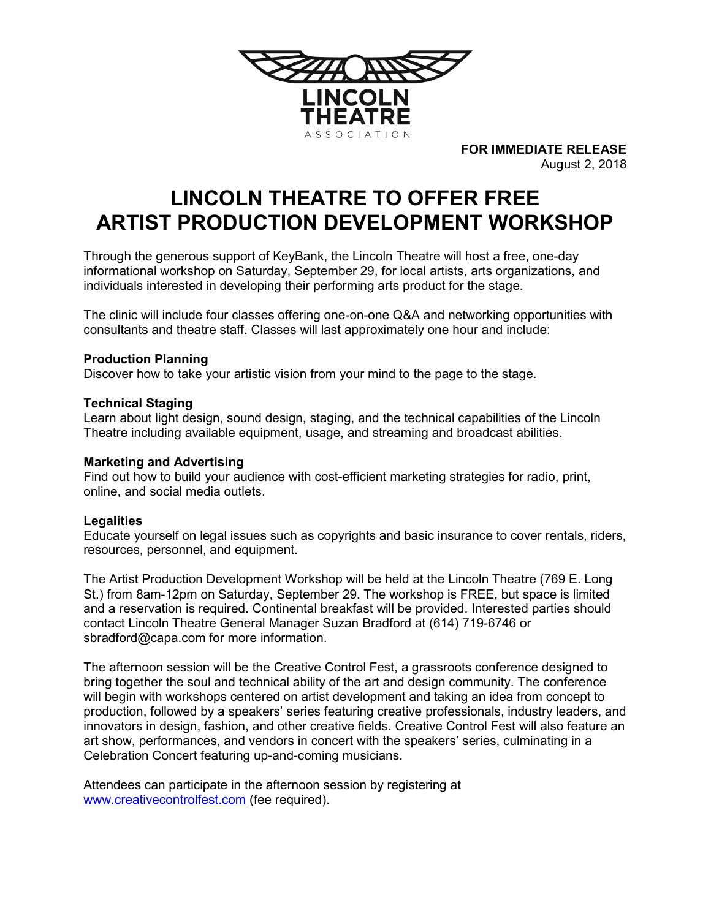

FOR IMMEDIATE RELEASE August 2, 2018

# LINCOLN THEATRE TO OFFER FREE ARTIST PRODUCTION DEVELOPMENT WORKSHOP

Through the generous support of KeyBank, the Lincoln Theatre will host a free, one-day informational workshop on Saturday, September 29, for local artists, arts organizations, and individuals interested in developing their performing arts product for the stage.

The clinic will include four classes offering one-on-one Q&A and networking opportunities with consultants and theatre staff. Classes will last approximately one hour and include:

## Production Planning

Discover how to take your artistic vision from your mind to the page to the stage.

#### Technical Staging

Learn about light design, sound design, staging, and the technical capabilities of the Lincoln Theatre including available equipment, usage, and streaming and broadcast abilities.

#### Marketing and Advertising

Find out how to build your audience with cost-efficient marketing strategies for radio, print, online, and social media outlets.

#### **Legalities**

Educate yourself on legal issues such as copyrights and basic insurance to cover rentals, riders, resources, personnel, and equipment.

The Artist Production Development Workshop will be held at the Lincoln Theatre (769 E. Long St.) from 8am-12pm on Saturday, September 29. The workshop is FREE, but space is limited and a reservation is required. Continental breakfast will be provided. Interested parties should contact Lincoln Theatre General Manager Suzan Bradford at (614) 719-6746 or sbradford@capa.com for more information.

The afternoon session will be the Creative Control Fest, a grassroots conference designed to bring together the soul and technical ability of the art and design community. The conference will begin with workshops centered on artist development and taking an idea from concept to production, followed by a speakers' series featuring creative professionals, industry leaders, and innovators in design, fashion, and other creative fields. Creative Control Fest will also feature an art show, performances, and vendors in concert with the speakers' series, culminating in a Celebration Concert featuring up-and-coming musicians.

Attendees can participate in the afternoon session by registering at www.creativecontrolfest.com (fee required).